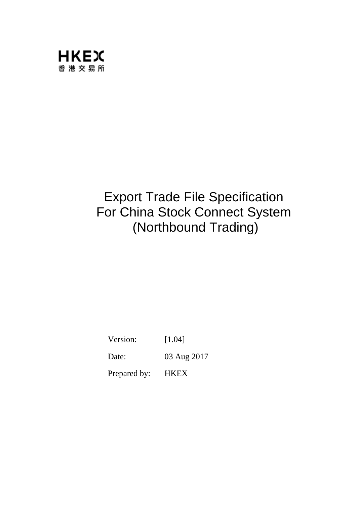

# Export Trade File Specification For China Stock Connect System (Northbound Trading)

Version: [1.04]

Date: 03 Aug 2017

Prepared by: HKEX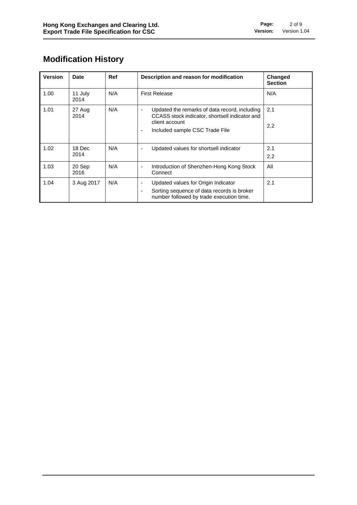### **Modification History**

| <b>Version</b> | <b>Date</b>     | Ref | Description and reason for modification                                                                                                                        | <b>Changed</b><br><b>Section</b> |
|----------------|-----------------|-----|----------------------------------------------------------------------------------------------------------------------------------------------------------------|----------------------------------|
| 1.00           | 11 July<br>2014 | N/A | <b>First Release</b>                                                                                                                                           | N/A                              |
| 1.01           | 27 Aug<br>2014  | N/A | Updated the remarks of data record, including<br>ä,<br>CCASS stock indicator, shortsell indicator and<br>client account<br>Included sample CSC Trade File<br>٠ | 2.1<br>$2.2\phantom{0}$          |
| 1.02           | 18 Dec<br>2014  | N/A | Updated values for shortsell indicator<br>٠                                                                                                                    | 2.1<br>2.2                       |
| 1.03           | 20 Sep<br>2016  | N/A | Introduction of Shenzhen-Hong Kong Stock<br>۰<br>Connect                                                                                                       | All                              |
| 1.04           | 3 Aug 2017      | N/A | Updated values for Origin Indicator<br>۰<br>Sorting sequence of data records is broker<br>٠<br>number followed by trade execution time.                        | 2.1                              |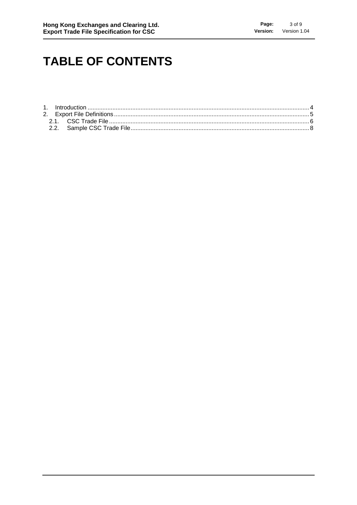## **TABLE OF CONTENTS**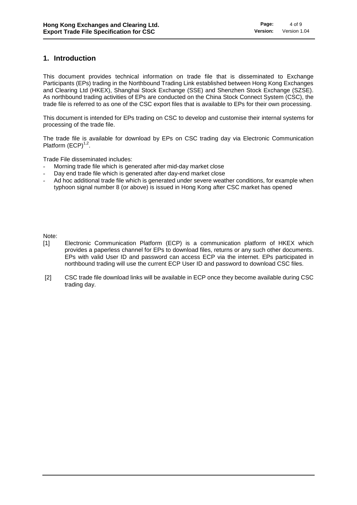#### **1. Introduction**

This document provides technical information on trade file that is disseminated to Exchange Participants (EPs) trading in the Northbound Trading Link established between Hong Kong Exchanges and Clearing Ltd (HKEX), Shanghai Stock Exchange (SSE) and Shenzhen Stock Exchange (SZSE). As northbound trading activities of EPs are conducted on the China Stock Connect System (CSC), the trade file is referred to as one of the CSC export files that is available to EPs for their own processing.

This document is intended for EPs trading on CSC to develop and customise their internal systems for processing of the trade file.

The trade file is available for download by EPs on CSC trading day via Electronic Communication Platform  $(ECP)^{1,2}$ .

Trade File disseminated includes:

- Morning trade file which is generated after mid-day market close
- Day end trade file which is generated after day-end market close
- Ad hoc additional trade file which is generated under severe weather conditions, for example when typhoon signal number 8 (or above) is issued in Hong Kong after CSC market has opened

Note:

- [1] Electronic Communication Platform (ECP) is a communication platform of HKEX which provides a paperless channel for EPs to download files, returns or any such other documents. EPs with valid User ID and password can access ECP via the internet. EPs participated in northbound trading will use the current ECP User ID and password to download CSC files.
- [2] CSC trade file download links will be available in ECP once they become available during CSC trading day.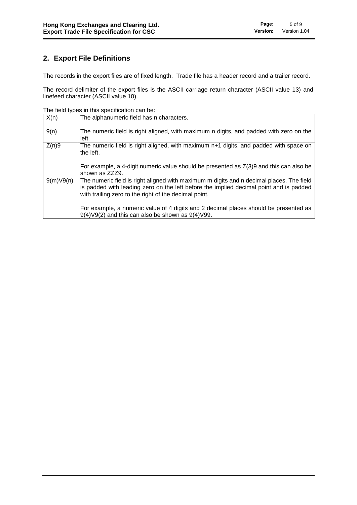### **2. Export File Definitions**

The records in the export files are of fixed length. Trade file has a header record and a trailer record.

The record delimiter of the export files is the ASCII carriage return character (ASCII value 13) and linefeed character (ASCII value 10).

The field types in this specification can be:

| X(n)      | The alphanumeric field has n characters.                                                                                                                                                                                                    |
|-----------|---------------------------------------------------------------------------------------------------------------------------------------------------------------------------------------------------------------------------------------------|
| 9(n)      | The numeric field is right aligned, with maximum n digits, and padded with zero on the<br>left.                                                                                                                                             |
| Z(n)9     | The numeric field is right aligned, with maximum n+1 digits, and padded with space on<br>the left.                                                                                                                                          |
|           | For example, a 4-digit numeric value should be presented as $Z(3)9$ and this can also be<br>shown as ZZZ9.                                                                                                                                  |
| 9(m)V9(n) | The numeric field is right aligned with maximum m digits and n decimal places. The field<br>is padded with leading zero on the left before the implied decimal point and is padded<br>with trailing zero to the right of the decimal point. |
|           | For example, a numeric value of 4 digits and 2 decimal places should be presented as<br>$9(4) \vee 9(2)$ and this can also be shown as $9(4) \vee 99$ .                                                                                     |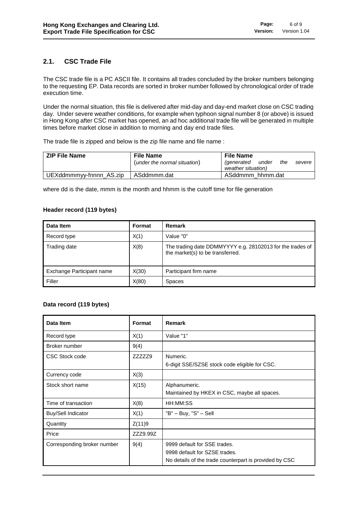#### **2.1. CSC Trade File**

The CSC trade file is a PC ASCII file. It contains all trades concluded by the broker numbers belonging to the requesting EP. Data records are sorted in broker number followed by chronological order of trade execution time.

Under the normal situation, this file is delivered after mid-day and day-end market close on CSC trading day. Under severe weather conditions, for example when typhoon signal number 8 (or above) is issued in Hong Kong after CSC market has opened, an ad hoc additional trade file will be generated in multiple times before market close in addition to morning and day end trade files.

The trade file is zipped and below is the zip file name and file name :

| <b>ZIP File Name</b>    | <b>File Name</b>             | <b>File Name</b>                                                  |
|-------------------------|------------------------------|-------------------------------------------------------------------|
|                         | (under the normal situation) | <i>(generated</i><br>the<br>under<br>severe<br>weather situation) |
| UEXddmmmyy-fnnnn AS.zip | ASddmmm.dat                  | ASddmmm hhmm.dat                                                  |

where dd is the date, mmm is the month and hhmm is the cutoff time for file generation

#### **Header record (119 bytes)**

| Data Item                 | Format | Remark                                                                                        |
|---------------------------|--------|-----------------------------------------------------------------------------------------------|
| Record type               | X(1)   | Value "0"                                                                                     |
| Trading date              | X(8)   | The trading date DDMMYYYY e.g. 28102013 for the trades of<br>the market(s) to be transferred. |
| Exchange Participant name | X(30)  | Participant firm name                                                                         |
| Filler                    | X(80)  | <b>Spaces</b>                                                                                 |

#### **Data record (119 bytes)**

| Data Item                   | Format   | Remark                                                                                                                  |
|-----------------------------|----------|-------------------------------------------------------------------------------------------------------------------------|
| Record type                 | X(1)     | Value "1"                                                                                                               |
| Broker number               | 9(4)     |                                                                                                                         |
| CSC Stock code              | ZZZZZ29  | Numeric.<br>6-digit SSE/SZSE stock code eligible for CSC.                                                               |
| Currency code               | X(3)     |                                                                                                                         |
| Stock short name            | X(15)    | Alphanumeric.<br>Maintained by HKEX in CSC, maybe all spaces.                                                           |
| Time of transaction         | X(8)     | HH:MM:SS                                                                                                                |
| <b>Buy/Sell Indicator</b>   | X(1)     | "B" - Buy, "S" - Sell                                                                                                   |
| Quantity                    | Z(11)9   |                                                                                                                         |
| Price                       | ZZZ9.99Z |                                                                                                                         |
| Corresponding broker number | 9(4)     | 9999 default for SSE trades.<br>9998 default for SZSE trades.<br>No details of the trade counterpart is provided by CSC |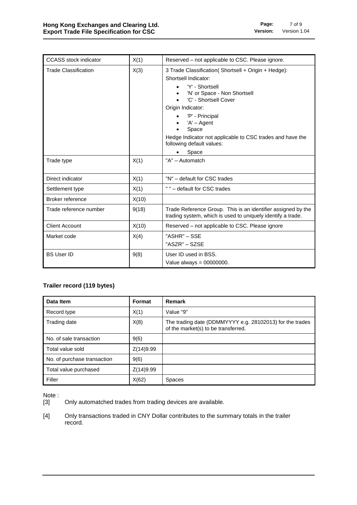| <b>CCASS</b> stock indicator<br>X(1) |       | Reserved - not applicable to CSC. Please ignore.                                                                                                                                                                                                                                        |  |  |  |
|--------------------------------------|-------|-----------------------------------------------------------------------------------------------------------------------------------------------------------------------------------------------------------------------------------------------------------------------------------------|--|--|--|
| X(3)<br><b>Trade Classification</b>  |       | 3 Trade Classification( Shortsell + Origin + Hedge):<br>Shortsell Indicator:<br>'Y' - Shortsell<br>'N' or Space - Non Shortsell<br>'C' - Shortsell Cover<br>Origin Indicator:<br>'P' - Principal<br>$'A' - Agent$<br>Space<br>Hedge Indicator not applicable to CSC trades and have the |  |  |  |
|                                      |       | following default values:<br>Space                                                                                                                                                                                                                                                      |  |  |  |
| Trade type                           | X(1)  | "A" - Automatch                                                                                                                                                                                                                                                                         |  |  |  |
| Direct indicator                     | X(1)  | "N" - default for CSC trades                                                                                                                                                                                                                                                            |  |  |  |
| Settlement type                      | X(1)  | " " - default for CSC trades                                                                                                                                                                                                                                                            |  |  |  |
| Broker reference                     | X(10) |                                                                                                                                                                                                                                                                                         |  |  |  |
| Trade reference number               | 9(18) | Trade Reference Group. This is an identifier assigned by the<br>trading system, which is used to uniquely identify a trade.                                                                                                                                                             |  |  |  |
| <b>Client Account</b>                | X(10) | Reserved – not applicable to CSC. Please ignore                                                                                                                                                                                                                                         |  |  |  |
| Market code                          | X(4)  | "ASHR" – SSE<br>"ASZR" - SZSE                                                                                                                                                                                                                                                           |  |  |  |
| <b>BS User ID</b>                    | 9(8)  | User ID used in BSS.<br>Value always = $00000000$ .                                                                                                                                                                                                                                     |  |  |  |

#### **Trailer record (119 bytes)**

| Data Item                   | Format    | Remark                                                                                          |
|-----------------------------|-----------|-------------------------------------------------------------------------------------------------|
| Record type                 | X(1)      | Value "9"                                                                                       |
| Trading date                | X(8)      | The trading date (DDMMYYYY e.g. 28102013) for the trades<br>of the market(s) to be transferred. |
| No. of sale transaction     | 9(6)      |                                                                                                 |
| Total value sold            | Z(14)9.99 |                                                                                                 |
| No. of purchase transaction | 9(6)      |                                                                                                 |
| Total value purchased       | Z(14)9.99 |                                                                                                 |
| Filler                      | X(62)     | <b>Spaces</b>                                                                                   |

Note :

[3] Only automatched trades from trading devices are available.

[4] Only transactions traded in CNY Dollar contributes to the summary totals in the trailer record.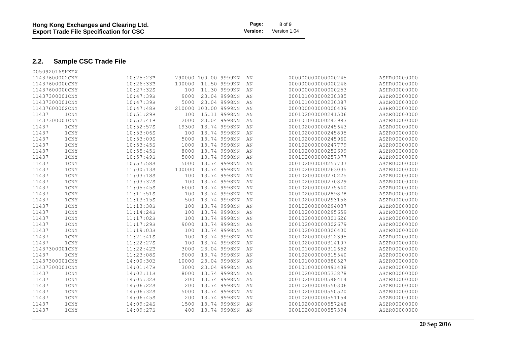#### **2.2. Sample CSC Trade File**

| 005092016SHKEX |      |           |        |                      |              |    |                    |              |
|----------------|------|-----------|--------|----------------------|--------------|----|--------------------|--------------|
| 11437600002CNY |      | 10:25:23B |        | 790000 100.00 9999NN |              | AN | 00000000000000245  | ASHR00000000 |
| 11437600000CNY |      | 10:26:33B | 100000 |                      | 11.50 9999NN | AN | 00000000000000246  | ASHR00000000 |
| 11437600000CNY |      | 10:27:32S | 100    |                      | 11.30 9999NN | AN | 00000000000000253  | ASHR00000000 |
| 11437300001CNY |      | 10:47:39B | 9000   |                      | 23.04 9998NN | AN | 000101000000230385 | ASZR00000000 |
| 11437300001CNY |      | 10:47:39B | 5000   |                      | 23.04 9998NN | AN | 000101000000230387 | ASZR00000000 |
| 11437600002CNY |      | 10:47:48B |        | 210000 100.00 9999NN |              | AN | 00000000000000409  | ASHR00000000 |
| 11437          | 1CNY | 10:51:29B | 100    |                      | 15.11 9998NN | AN | 000102000000241506 | ASZR00000000 |
| 11437300001CNY |      | 10:52:41B | 2000   |                      | 23.04 9998NN | AN | 000101000000243993 | ASZR00000000 |
| 11437          | 1CNY | 10:52:57S | 19300  |                      | 13.74 9998NN | AN | 000102000000245643 | ASZR00000000 |
| 11437<br>1CNY  |      | 10:53:06S | 100    |                      | 13.74 9998NN | AN | 000102000000245805 | ASZR00000000 |
| 11437          | 1CNY | 10:53:09S | 5000   |                      | 13.74 9998NN | AN | 000102000000245960 | ASZR00000000 |
| 11437          | 1CNY | 10:53:45S | 1000   |                      | 13.74 9998NN | AN | 000102000000247779 | ASZR00000000 |
| 11437          | 1CNY | 10:55:45S | 8000   |                      | 13.74 9998NN | AN | 000102000000252699 | ASZR00000000 |
| 11437          | 1CNY | 10:57:49S | 5000   |                      | 13.74 9998NN | AN | 000102000000257377 | ASZR00000000 |
| 11437          | 1CNY | 10:57:58S | 5000   |                      | 13.74 9998NN | AN | 000102000000257707 | ASZR00000000 |
| 11437          | 1CNY | 11:00:13S | 100000 |                      | 13.74 9998NN | AN | 000102000000263035 | ASZR00000000 |
| 11437          | 1CNY | 11:03:18S | 100    |                      | 13.74 9998NN | AN | 000102000000270225 | ASZR00000000 |
| 11437<br>1CNY  |      | 11:03:37S | 100    |                      | 13.74 9998NN | AN | 000102000000270829 | ASZR00000000 |
| 11437          | 1CNY | 11:05:45S | 6000   |                      | 13.74 9998NN | ΑN | 000102000000275640 | ASZR00000000 |
| 11437<br>1CNY  |      | 11:11:51S | 100    |                      | 13.74 9998NN | AN | 000102000000289878 | ASZR00000000 |
| 11437          | 1CNY | 11:13:15S | 500    |                      | 13.74 9998NN | AN | 000102000000293156 | ASZR00000000 |
| 11437          | 1CNY | 11:13:38S | 100    |                      | 13.74 9998NN | AN | 000102000000294037 | ASZR00000000 |
| 11437<br>1CNY  |      | 11:14:24S | 100    |                      | 13.74 9998NN | AN | 000102000000295659 | ASZR00000000 |
| 11437          | 1CNY | 11:17:02S | 100    |                      | 13.74 9998NN | AN | 000102000000301626 | ASZR00000000 |
| 11437          | 1CNY | 11:17:29S | 9000   |                      | 13.74 9998NN | AN | 000102000000302679 | ASZR00000000 |
| 11437          | 1CNY | 11:19:03S | 100    |                      | 13.74 9998NN | AN | 000102000000306400 | ASZR00000000 |
| 11437          | 1CNY | 11:21:41S | 100    |                      | 13.74 9998NN | AN | 000102000000312395 | ASZR00000000 |
| 11437          | 1CNY | 11:22:27S | 100    |                      | 13.74 9998NN | AN | 000102000000314107 | ASZR00000000 |
| 11437300001CNY |      | 11:22:42B | 3000   |                      | 23.04 9998NN | AN | 000101000000312652 | ASZR00000000 |
| 11437          | 1CNY | 11:23:08S | 9000   |                      | 13.74 9998NN | AN | 000102000000315540 | ASZR00000000 |
| 11437300001CNY |      | 14:00:30B | 10000  |                      | 23.04 9998NN | AN | 000101000000380527 | ASZR00000000 |
| 11437300001CNY |      | 14:01:47B | 3000   |                      | 23.04 9998NN | AN | 000101000000491408 | ASZR00000000 |
| 11437          | 1CNY | 14:02:11S | 8000   |                      | 13.74 9998NN | AN | 000102000000533878 | ASZR00000000 |
| 11437<br>1CNY  |      | 14:05:32S | 200    |                      | 13.74 9998NN | AN | 000102000000548414 | ASZR00000000 |
| 11437          | 1CNY | 14:06:22S | 200    |                      | 13.74 9998NN | AN | 000102000000550306 | ASZR00000000 |
| 11437          | 1CNY | 14:06:32S | 5000   |                      | 13.74 9998NN | AN | 000102000000550520 | ASZR00000000 |
| 11437<br>1CNY  |      | 14:06:45S | 200    |                      | 13.74 9998NN | AN | 000102000000551154 | ASZR00000000 |
| 11437          | 1CNY | 14:09:24S | 1500   |                      | 13.74 9998NN | AN | 000102000000557248 | ASZR00000000 |
| 11437          | 1CNY | 14:09:27S | 400    |                      | 13.74 9998NN | AN | 000102000000557394 | ASZR00000000 |